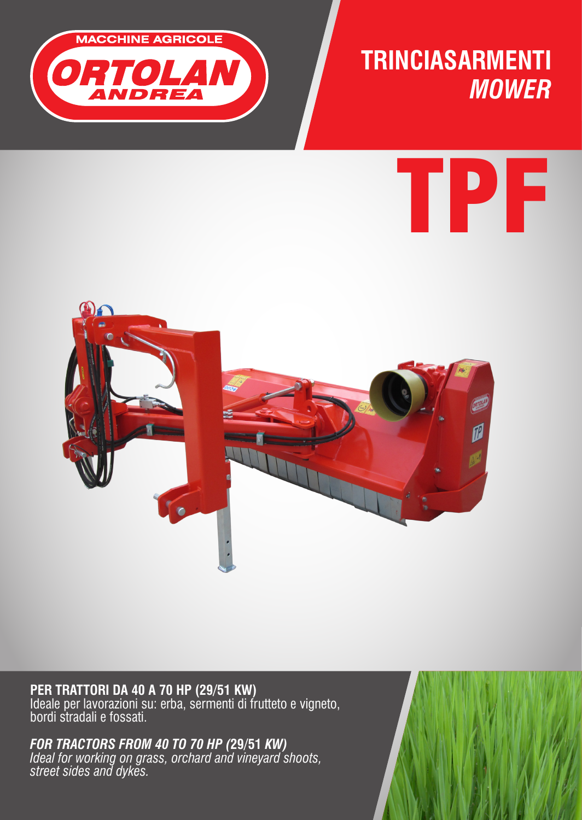

### **TRINCIASARMENTI** *MOWER*

# TPF



**PER TRATTORI DA 40 A 70 HP (29/51 KW)**  Ideale per lavorazioni su: erba, sermenti di frutteto e vigneto, bordi stradali e fossati.

*FOR TRACTORS FROM 40 TO 70 HP (***29/51** *KW) Ideal for working on grass, orchard and vineyard shoots, street sides and dykes.*